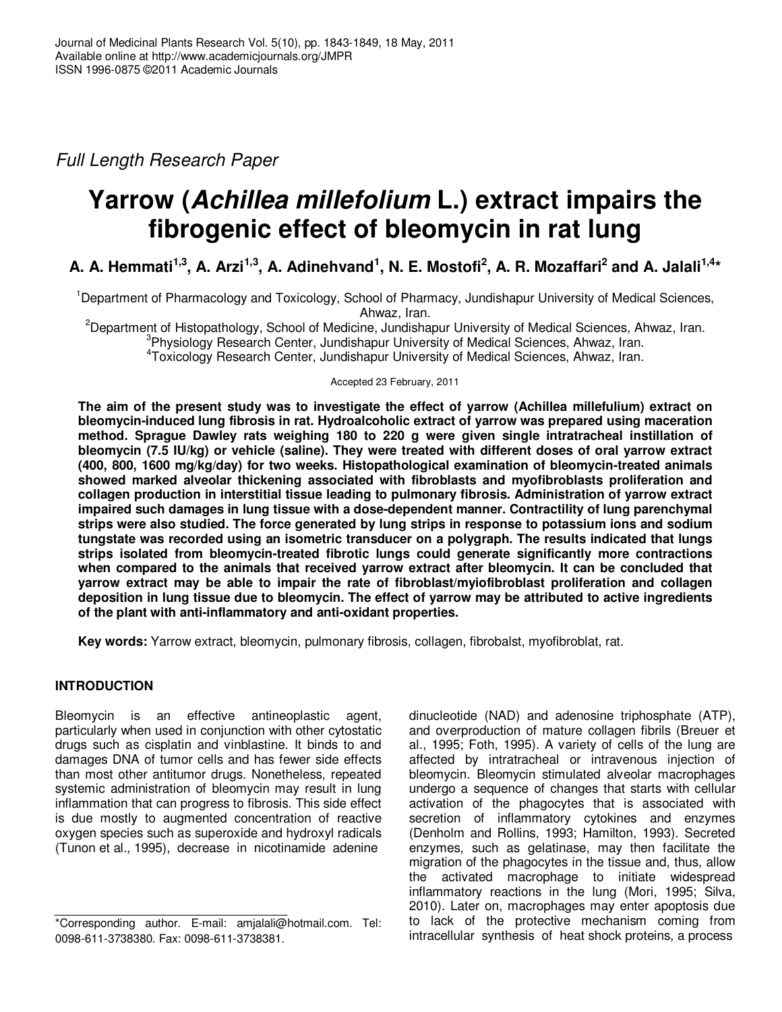Full Length Research Paper

# **Yarrow (Achillea millefolium L.) extract impairs the fibrogenic effect of bleomycin in rat lung**

**A. A. Hemmati1,3, A. Arzi1,3, A. Adinehvand<sup>1</sup> , N. E. Mostofi<sup>2</sup> , A. R. Mozaffari<sup>2</sup> and A. Jalali1,4\*** 

<sup>1</sup>Department of Pharmacology and Toxicology, School of Pharmacy, Jundishapur University of Medical Sciences, Ahwaz, Iran.

<sup>2</sup>Department of Histopathology, School of Medicine, Jundishapur University of Medical Sciences, Ahwaz, Iran. <sup>3</sup>Physiology Research Center, Jundishapur University of Medical Sciences, Ahwaz, Iran.

4 Toxicology Research Center, Jundishapur University of Medical Sciences, Ahwaz, Iran.

## Accepted 23 February, 2011

**The aim of the present study was to investigate the effect of yarrow (Achillea millefulium) extract on bleomycin-induced lung fibrosis in rat. Hydroalcoholic extract of yarrow was prepared using maceration method. Sprague Dawley rats weighing 180 to 220 g were given single intratracheal instillation of bleomycin (7.5 IU/kg) or vehicle (saline). They were treated with different doses of oral yarrow extract (400, 800, 1600 mg/kg/day) for two weeks. Histopathological examination of bleomycin-treated animals showed marked alveolar thickening associated with fibroblasts and myofibroblasts proliferation and collagen production in interstitial tissue leading to pulmonary fibrosis. Administration of yarrow extract impaired such damages in lung tissue with a dose-dependent manner. Contractility of lung parenchymal strips were also studied. The force generated by lung strips in response to potassium ions and sodium tungstate was recorded using an isometric transducer on a polygraph. The results indicated that lungs strips isolated from bleomycin-treated fibrotic lungs could generate significantly more contractions when compared to the animals that received yarrow extract after bleomycin. It can be concluded that yarrow extract may be able to impair the rate of fibroblast/myiofibroblast proliferation and collagen deposition in lung tissue due to bleomycin. The effect of yarrow may be attributed to active ingredients of the plant with anti-inflammatory and anti-oxidant properties.** 

**Key words:** Yarrow extract, bleomycin, pulmonary fibrosis, collagen, fibrobalst, myofibroblat, rat.

# **INTRODUCTION**

Bleomycin is an effective antineoplastic agent, particularly when used in conjunction with other cytostatic drugs such as cisplatin and vinblastine. It binds to and damages DNA of tumor cells and has fewer side effects than most other antitumor drugs. Nonetheless, repeated systemic administration of bleomycin may result in lung inflammation that can progress to fibrosis. This side effect is due mostly to augmented concentration of reactive oxygen species such as superoxide and hydroxyl radicals (Tunon et al., 1995), decrease in nicotinamide adenine

dinucleotide (NAD) and adenosine triphosphate (ATP), and overproduction of mature collagen fibrils (Breuer et al., 1995; Foth, 1995). A variety of cells of the lung are affected by intratracheal or intravenous injection of bleomycin. Bleomycin stimulated alveolar macrophages undergo a sequence of changes that starts with cellular activation of the phagocytes that is associated with secretion of inflammatory cytokines and enzymes (Denholm and Rollins, 1993; Hamilton, 1993). Secreted enzymes, such as gelatinase, may then facilitate the migration of the phagocytes in the tissue and, thus, allow the activated macrophage to initiate widespread inflammatory reactions in the lung (Mori, 1995; Silva, 2010). Later on, macrophages may enter apoptosis due to lack of the protective mechanism coming from intracellular synthesis of heat shock proteins, a process

<sup>\*</sup>Corresponding author. E-mail: amjalali@hotmail.com. Tel: 0098-611-3738380. Fax: 0098-611-3738381.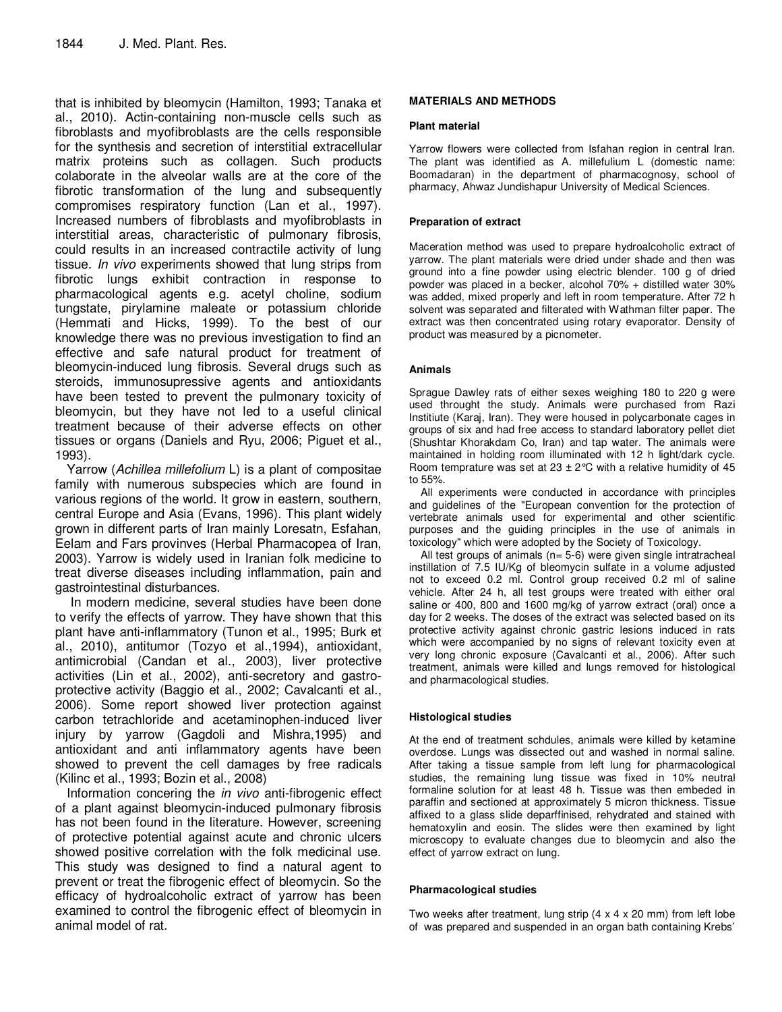that is inhibited by bleomycin (Hamilton, 1993; Tanaka et al., 2010). Actin-containing non-muscle cells such as fibroblasts and myofibroblasts are the cells responsible for the synthesis and secretion of interstitial extracellular matrix proteins such as collagen. Such products colaborate in the alveolar walls are at the core of the fibrotic transformation of the lung and subsequently compromises respiratory function (Lan et al., 1997). Increased numbers of fibroblasts and myofibroblasts in interstitial areas, characteristic of pulmonary fibrosis, could results in an increased contractile activity of lung tissue. In vivo experiments showed that lung strips from fibrotic lungs exhibit contraction in response to pharmacological agents e.g. acetyl choline, sodium tungstate, pirylamine maleate or potassium chloride (Hemmati and Hicks, 1999). To the best of our knowledge there was no previous investigation to find an effective and safe natural product for treatment of bleomycin-induced lung fibrosis. Several drugs such as steroids, immunosupressive agents and antioxidants have been tested to prevent the pulmonary toxicity of bleomycin, but they have not led to a useful clinical treatment because of their adverse effects on other tissues or organs (Daniels and Ryu, 2006; Piguet et al., 1993).

Yarrow (Achillea millefolium L) is a plant of compositae family with numerous subspecies which are found in various regions of the world. It grow in eastern, southern, central Europe and Asia (Evans, 1996). This plant widely grown in different parts of Iran mainly Loresatn, Esfahan, Eelam and Fars provinves (Herbal Pharmacopea of Iran, 2003). Yarrow is widely used in Iranian folk medicine to treat diverse diseases including inflammation, pain and gastrointestinal disturbances.

 In modern medicine, several studies have been done to verify the effects of yarrow. They have shown that this plant have anti-inflammatory (Tunon et al., 1995; Burk et al., 2010), antitumor (Tozyo et al.,1994), antioxidant, antimicrobial (Candan et al., 2003), liver protective activities (Lin et al., 2002), anti-secretory and gastroprotective activity (Baggio et al., 2002; Cavalcanti et al., 2006). Some report showed liver protection against carbon tetrachloride and acetaminophen-induced liver injury by yarrow (Gagdoli and Mishra,1995) and antioxidant and anti inflammatory agents have been showed to prevent the cell damages by free radicals (Kilinc et al., 1993; Bozin et al., 2008)

Information concering the in vivo anti-fibrogenic effect of a plant against bleomycin-induced pulmonary fibrosis has not been found in the literature. However, screening of protective potential against acute and chronic ulcers showed positive correlation with the folk medicinal use. This study was designed to find a natural agent to prevent or treat the fibrogenic effect of bleomycin. So the efficacy of hydroalcoholic extract of yarrow has been examined to control the fibrogenic effect of bleomycin in animal model of rat.

## **MATERIALS AND METHODS**

#### **Plant material**

Yarrow flowers were collected from Isfahan region in central Iran. The plant was identified as A. millefulium L (domestic name: Boomadaran) in the department of pharmacognosy, school of pharmacy, Ahwaz Jundishapur University of Medical Sciences.

#### **Preparation of extract**

Maceration method was used to prepare hydroalcoholic extract of yarrow. The plant materials were dried under shade and then was ground into a fine powder using electric blender. 100 g of dried powder was placed in a becker, alcohol 70% + distilled water 30% was added, mixed properly and left in room temperature. After 72 h solvent was separated and filterated with Wathman filter paper. The extract was then concentrated using rotary evaporator. Density of product was measured by a picnometer.

#### **Animals**

Sprague Dawley rats of either sexes weighing 180 to 220 g were used throught the study. Animals were purchased from Razi Institiute (Karaj, Iran). They were housed in polycarbonate cages in groups of six and had free access to standard laboratory pellet diet (Shushtar Khorakdam Co, Iran) and tap water. The animals were maintained in holding room illuminated with 12 h light/dark cycle. Room temprature was set at 23  $\pm$  2°C with a relative humidity of 45 to 55%.

All experiments were conducted in accordance with principles and guidelines of the "European convention for the protection of vertebrate animals used for experimental and other scientific purposes and the guiding principles in the use of animals in toxicology" which were adopted by the Society of Toxicology.

All test groups of animals ( $n= 5-6$ ) were given single intratracheal instillation of 7.5 IU/Kg of bleomycin sulfate in a volume adjusted not to exceed 0.2 ml. Control group received 0.2 ml of saline vehicle. After 24 h, all test groups were treated with either oral saline or 400, 800 and 1600 mg/kg of yarrow extract (oral) once a day for 2 weeks. The doses of the extract was selected based on its protective activity against chronic gastric lesions induced in rats which were accompanied by no signs of relevant toxicity even at very long chronic exposure (Cavalcanti et al., 2006). After such treatment, animals were killed and lungs removed for histological and pharmacological studies.

#### **Histological studies**

At the end of treatment schdules, animals were killed by ketamine overdose. Lungs was dissected out and washed in normal saline. After taking a tissue sample from left lung for pharmacological studies, the remaining lung tissue was fixed in 10% neutral formaline solution for at least 48 h. Tissue was then embeded in paraffin and sectioned at approximately 5 micron thickness. Tissue affixed to a glass slide deparffinised, rehydrated and stained with hematoxylin and eosin. The slides were then examined by light microscopy to evaluate changes due to bleomycin and also the effect of yarrow extract on lung.

#### **Pharmacological studies**

Two weeks after treatment, lung strip (4 x 4 x 20 mm) from left lobe of was prepared and suspended in an organ bath containing Krebs'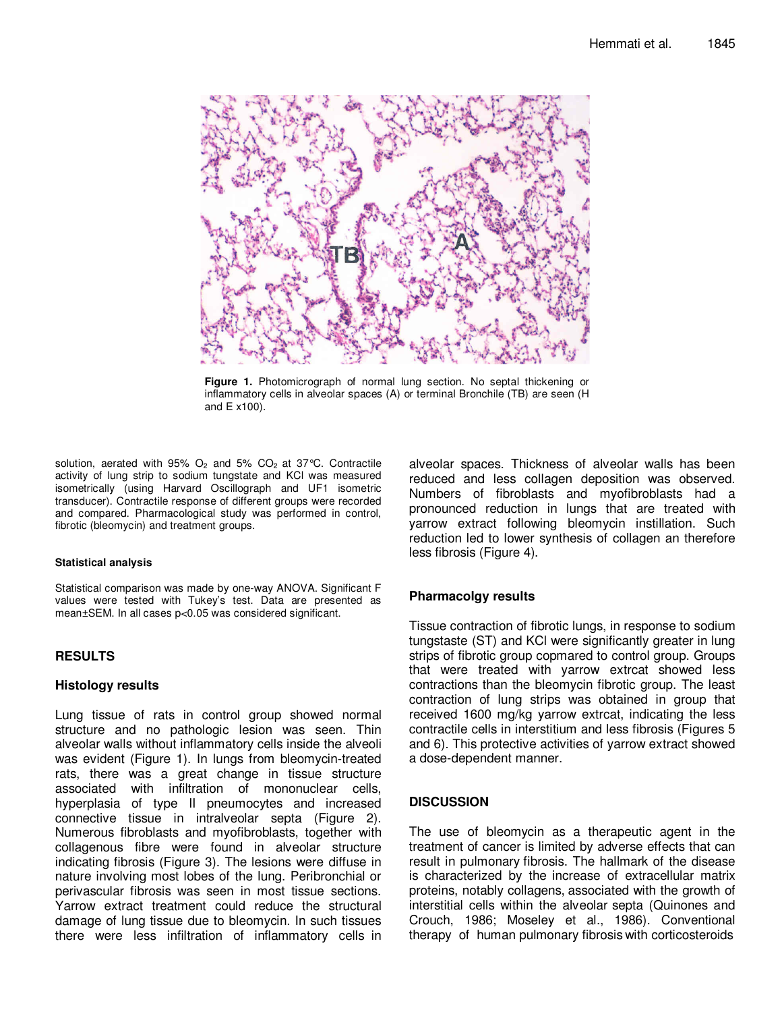

**Figure 1.** Photomicrograph of normal lung section. No septal thickening or inflammatory cells in alveolar spaces (A) or terminal Bronchile (TB) are seen (H and E x100).

solution, aerated with  $95\%$  O<sub>2</sub> and  $5\%$  CO<sub>2</sub> at 37°C. Contractile activity of lung strip to sodium tungstate and KCl was measured isometrically (using Harvard Oscillograph and UF1 isometric transducer). Contractile response of different groups were recorded and compared. Pharmacological study was performed in control, fibrotic (bleomycin) and treatment groups.

#### **Statistical analysis**

Statistical comparison was made by one-way ANOVA. Significant F values were tested with Tukey's test. Data are presented as mean±SEM. In all cases p<0.05 was considered significant.

# **RESULTS**

## **Histology results**

Lung tissue of rats in control group showed normal structure and no pathologic lesion was seen. Thin alveolar walls without inflammatory cells inside the alveoli was evident (Figure 1). In lungs from bleomycin-treated rats, there was a great change in tissue structure associated with infiltration of mononuclear cells, hyperplasia of type II pneumocytes and increased connective tissue in intralveolar septa (Figure 2). Numerous fibroblasts and myofibroblasts, together with collagenous fibre were found in alveolar structure indicating fibrosis (Figure 3). The lesions were diffuse in nature involving most lobes of the lung. Peribronchial or perivascular fibrosis was seen in most tissue sections. Yarrow extract treatment could reduce the structural damage of lung tissue due to bleomycin. In such tissues there were less infiltration of inflammatory cells in

alveolar spaces. Thickness of alveolar walls has been reduced and less collagen deposition was observed. Numbers of fibroblasts and myofibroblasts had a pronounced reduction in lungs that are treated with yarrow extract following bleomycin instillation. Such reduction led to lower synthesis of collagen an therefore less fibrosis (Figure 4).

# **Pharmacolgy results**

Tissue contraction of fibrotic lungs, in response to sodium tungstaste (ST) and KCl were significantly greater in lung strips of fibrotic group copmared to control group. Groups that were treated with yarrow extrcat showed less contractions than the bleomycin fibrotic group. The least contraction of lung strips was obtained in group that received 1600 mg/kg yarrow extrcat, indicating the less contractile cells in interstitium and less fibrosis (Figures 5 and 6). This protective activities of yarrow extract showed a dose-dependent manner.

# **DISCUSSION**

The use of bleomycin as a therapeutic agent in the treatment of cancer is limited by adverse effects that can result in pulmonary fibrosis. The hallmark of the disease is characterized by the increase of extracellular matrix proteins, notably collagens, associated with the growth of interstitial cells within the alveolar septa (Quinones and Crouch, 1986; Moseley et al., 1986). Conventional therapy of human pulmonary fibrosis with corticosteroids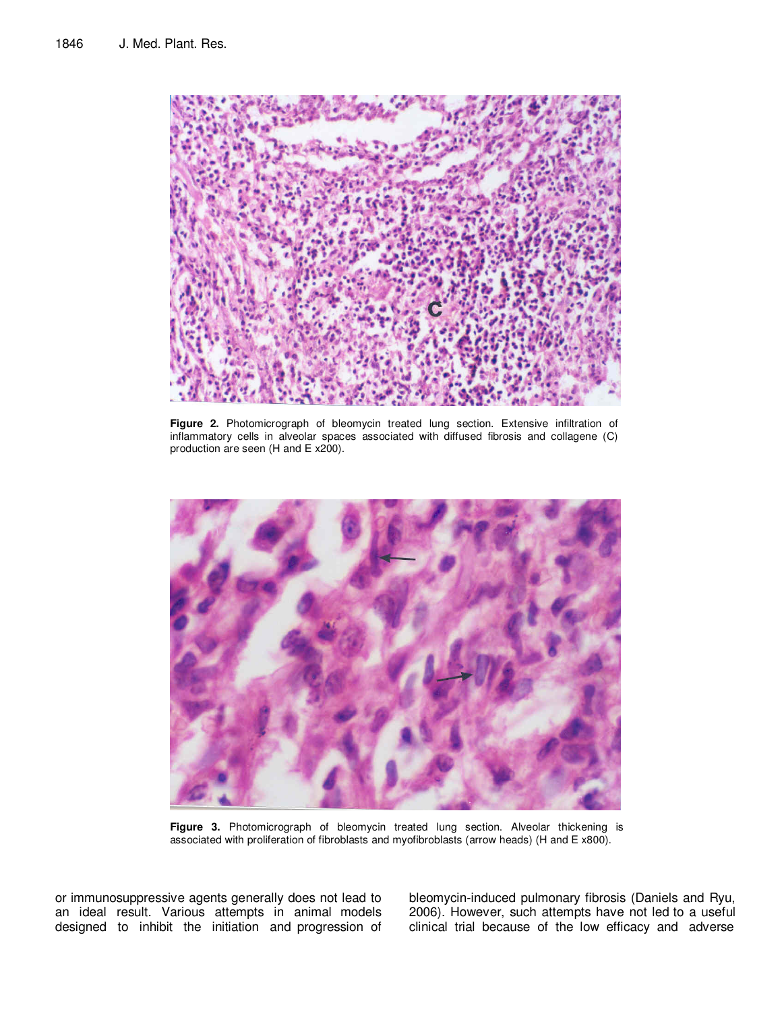

**Figure 2.** Photomicrograph of bleomycin treated lung section. Extensive infiltration of inflammatory cells in alveolar spaces associated with diffused fibrosis and collagene (C) production are seen (H and E x200).



**Figure 3.** Photomicrograph of bleomycin treated lung section. Alveolar thickening is associated with proliferation of fibroblasts and myofibroblasts (arrow heads) (H and E x800).

or immunosuppressive agents generally does not lead to an ideal result. Various attempts in animal models designed to inhibit the initiation and progression of

bleomycin-induced pulmonary fibrosis (Daniels and Ryu, 2006). However, such attempts have not led to a useful clinical trial because of the low efficacy and adverse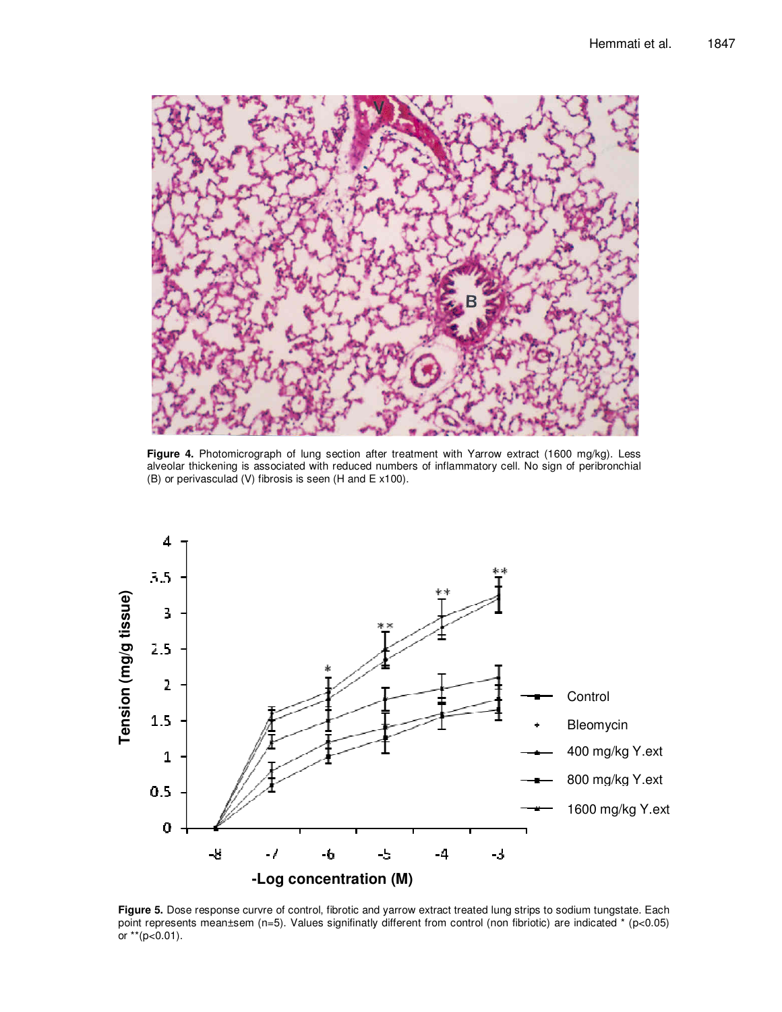

Figure 4. Photomicrograph of lung section after treatment with Yarrow extract (1600 mg/kg). Less alveolar thickening is associated with reduced numbers of inflammatory cell. No sign of peribronchial (B) or perivasculad (V) fibrosis is seen (H and E x100).



**Figure 5.** Dose response curvre of control, fibrotic and yarrow extract treated lung strips to sodium tungstate. Each point represents mean±sem (n=5). Values signifinatly different from control (non fibriotic) are indicated \* (p<0.05) or \*\* ( $p < 0.01$ ).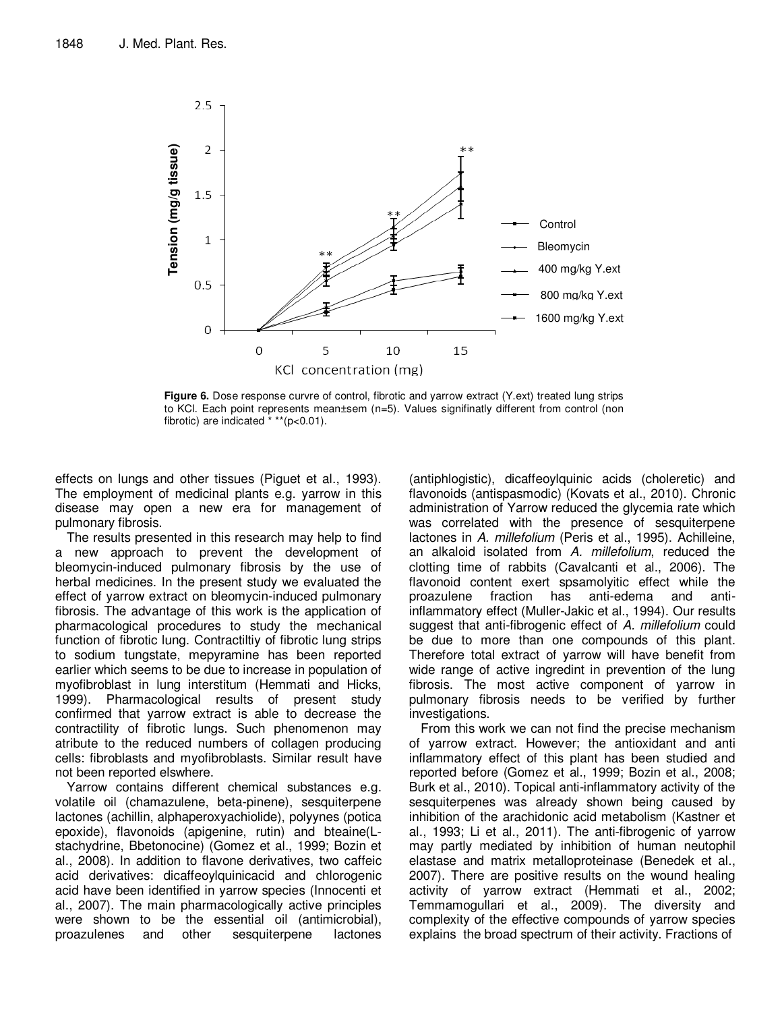

**Figure 6.** Dose response curvre of control, fibrotic and yarrow extract (Y.ext) treated lung strips to KCl. Each point represents mean±sem (n=5). Values signifinatly different from control (non fibrotic) are indicated  $***$ (p<0.01).

effects on lungs and other tissues (Piguet et al., 1993). The employment of medicinal plants e.g. yarrow in this disease may open a new era for management of pulmonary fibrosis.

The results presented in this research may help to find a new approach to prevent the development of bleomycin-induced pulmonary fibrosis by the use of herbal medicines. In the present study we evaluated the effect of yarrow extract on bleomycin-induced pulmonary fibrosis. The advantage of this work is the application of pharmacological procedures to study the mechanical function of fibrotic lung. Contractiltiy of fibrotic lung strips to sodium tungstate, mepyramine has been reported earlier which seems to be due to increase in population of myofibroblast in lung interstitum (Hemmati and Hicks, 1999). Pharmacological results of present study confirmed that yarrow extract is able to decrease the contractility of fibrotic lungs. Such phenomenon may atribute to the reduced numbers of collagen producing cells: fibroblasts and myofibroblasts. Similar result have not been reported elswhere.

Yarrow contains different chemical substances e.g. volatile oil (chamazulene, beta-pinene), sesquiterpene lactones (achillin, alphaperoxyachiolide), polyynes (potica epoxide), flavonoids (apigenine, rutin) and bteaine(Lstachydrine, Bbetonocine) (Gomez et al., 1999; Bozin et al., 2008). In addition to flavone derivatives, two caffeic acid derivatives: dicaffeoylquinicacid and chlorogenic acid have been identified in yarrow species (Innocenti et al., 2007). The main pharmacologically active principles were shown to be the essential oil (antimicrobial), proazulenes and other sesquiterpene lactones

(antiphlogistic), dicaffeoylquinic acids (choleretic) and flavonoids (antispasmodic) (Kovats et al., 2010). Chronic administration of Yarrow reduced the glycemia rate which was correlated with the presence of sesquiterpene lactones in A. millefolium (Peris et al., 1995). Achilleine, an alkaloid isolated from A. millefolium, reduced the clotting time of rabbits (Cavalcanti et al., 2006). The flavonoid content exert spsamolyitic effect while the proazulene fraction has anti-edema and antiinflammatory effect (Muller-Jakic et al., 1994). Our results suggest that anti-fibrogenic effect of A. millefolium could be due to more than one compounds of this plant. Therefore total extract of yarrow will have benefit from wide range of active ingredint in prevention of the lung fibrosis. The most active component of yarrow in pulmonary fibrosis needs to be verified by further investigations.

From this work we can not find the precise mechanism of yarrow extract. However; the antioxidant and anti inflammatory effect of this plant has been studied and reported before (Gomez et al., 1999; Bozin et al., 2008; Burk et al., 2010). Topical anti-inflammatory activity of the sesquiterpenes was already shown being caused by inhibition of the arachidonic acid metabolism (Kastner et al., 1993; Li et al., 2011). The anti-fibrogenic of yarrow may partly mediated by inhibition of human neutophil elastase and matrix metalloproteinase (Benedek et al., 2007). There are positive results on the wound healing activity of yarrow extract (Hemmati et al., 2002; Temmamogullari et al., 2009). The diversity and complexity of the effective compounds of yarrow species explains the broad spectrum of their activity. Fractions of